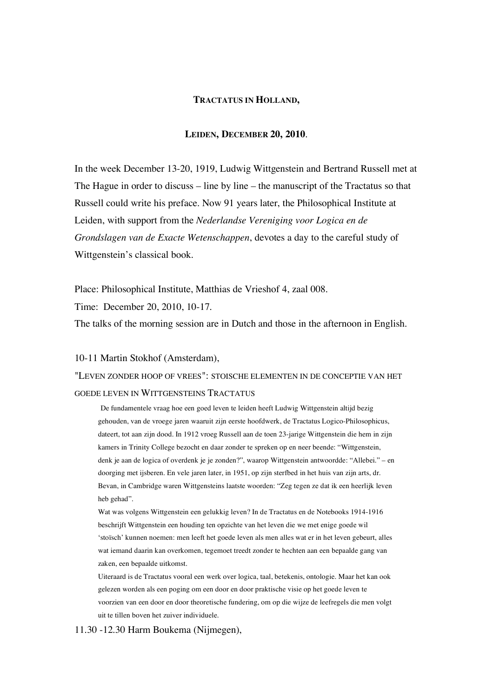## **TRACTATUS IN HOLLAND,**

# **LEIDEN, DECEMBER 20, 2010**.

In the week December 13-20, 1919, Ludwig Wittgenstein and Bertrand Russell met at The Hague in order to discuss – line by line – the manuscript of the Tractatus so that Russell could write his preface. Now 91 years later, the Philosophical Institute at Leiden, with support from the *Nederlandse Vereniging voor Logica en de Grondslagen van de Exacte Wetenschappen*, devotes a day to the careful study of Wittgenstein's classical book.

Place: Philosophical Institute, Matthias de Vrieshof 4, zaal 008.

Time: December 20, 2010, 10-17.

The talks of the morning session are in Dutch and those in the afternoon in English.

## 10-11 Martin Stokhof (Amsterdam),

"LEVEN ZONDER HOOP OF VREES": STOISCHE ELEMENTEN IN DE CONCEPTIE VAN HET GOEDE LEVEN IN WITTGENSTEINS TRACTATUS

De fundamentele vraag hoe een goed leven te leiden heeft Ludwig Wittgenstein altijd bezig gehouden, van de vroege jaren waaruit zijn eerste hoofdwerk, de Tractatus Logico-Philosophicus, dateert, tot aan zijn dood. In 1912 vroeg Russell aan de toen 23-jarige Wittgenstein die hem in zijn kamers in Trinity College bezocht en daar zonder te spreken op en neer beende: "Wittgenstein, denk je aan de logica of overdenk je je zonden?", waarop Wittgenstein antwoordde: "Allebei." – en doorging met ijsberen. En vele jaren later, in 1951, op zijn sterfbed in het huis van zijn arts, dr. Bevan, in Cambridge waren Wittgensteins laatste woorden: "Zeg tegen ze dat ik een heerlijk leven heb gehad".

Wat was volgens Wittgenstein een gelukkig leven? In de Tractatus en de Notebooks 1914-1916 beschrijft Wittgenstein een houding ten opzichte van het leven die we met enige goede wil 'stoïsch' kunnen noemen: men leeft het goede leven als men alles wat er in het leven gebeurt, alles wat iemand daarin kan overkomen, tegemoet treedt zonder te hechten aan een bepaalde gang van zaken, een bepaalde uitkomst.

Uiteraard is de Tractatus vooral een werk over logica, taal, betekenis, ontologie. Maar het kan ook gelezen worden als een poging om een door en door praktische visie op het goede leven te voorzien van een door en door theoretische fundering, om op die wijze de leefregels die men volgt uit te tillen boven het zuiver individuele.

11.30 -12.30 Harm Boukema (Nijmegen),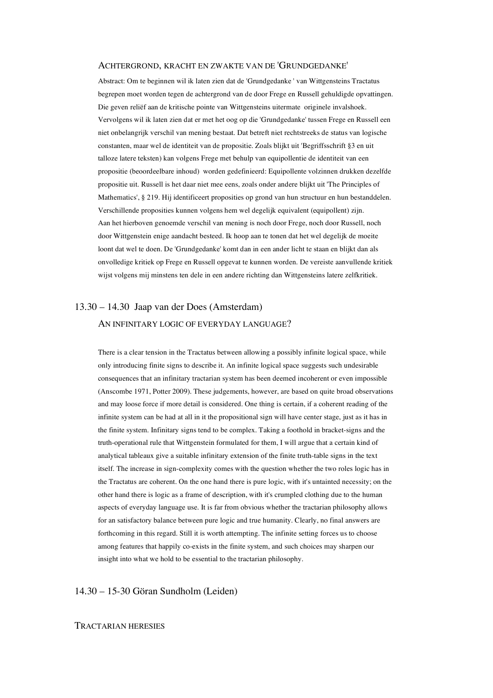#### ACHTERGROND, KRACHT EN ZWAKTE VAN DE 'GRUNDGEDANKE'

Abstract: Om te beginnen wil ik laten zien dat de 'Grundgedanke ' van Wittgensteins Tractatus begrepen moet worden tegen de achtergrond van de door Frege en Russell gehuldigde opvattingen. Die geven reliëf aan de kritische pointe van Wittgensteins uitermate originele invalshoek. Vervolgens wil ik laten zien dat er met het oog op die 'Grundgedanke' tussen Frege en Russell een niet onbelangrijk verschil van mening bestaat. Dat betreft niet rechtstreeks de status van logische constanten, maar wel de identiteit van de propositie. Zoals blijkt uit 'Begriffsschrift §3 en uit talloze latere teksten) kan volgens Frege met behulp van equipollentie de identiteit van een propositie (beoordeelbare inhoud) worden gedefinieerd: Equipollente volzinnen drukken dezelfde propositie uit. Russell is het daar niet mee eens, zoals onder andere blijkt uit 'The Principles of Mathematics', § 219. Hij identificeert proposities op grond van hun structuur en hun bestanddelen. Verschillende proposities kunnen volgens hem wel degelijk equivalent (equipollent) zijn. Aan het hierboven genoemde verschil van mening is noch door Frege, noch door Russell, noch door Wittgenstein enige aandacht besteed. Ik hoop aan te tonen dat het wel degelijk de moeite loont dat wel te doen. De 'Grundgedanke' komt dan in een ander licht te staan en blijkt dan als onvolledige kritiek op Frege en Russell opgevat te kunnen worden. De vereiste aanvullende kritiek wijst volgens mij minstens ten dele in een andere richting dan Wittgensteins latere zelfkritiek.

# 13.30 – 14.30 Jaap van der Does (Amsterdam) AN INFINITARY LOGIC OF EVERYDAY LANGUAGE?

There is a clear tension in the Tractatus between allowing a possibly infinite logical space, while only introducing finite signs to describe it. An infinite logical space suggests such undesirable consequences that an infinitary tractarian system has been deemed incoherent or even impossible (Anscombe 1971, Potter 2009). These judgements, however, are based on quite broad observations and may loose force if more detail is considered. One thing is certain, if a coherent reading of the infinite system can be had at all in it the propositional sign will have center stage, just as it has in the finite system. Infinitary signs tend to be complex. Taking a foothold in bracket-signs and the truth-operational rule that Wittgenstein formulated for them, I will argue that a certain kind of analytical tableaux give a suitable infinitary extension of the finite truth-table signs in the text itself. The increase in sign-complexity comes with the question whether the two roles logic has in the Tractatus are coherent. On the one hand there is pure logic, with it's untainted necessity; on the other hand there is logic as a frame of description, with it's crumpled clothing due to the human aspects of everyday language use. It is far from obvious whether the tractarian philosophy allows for an satisfactory balance between pure logic and true humanity. Clearly, no final answers are forthcoming in this regard. Still it is worth attempting. The infinite setting forces us to choose among features that happily co-exists in the finite system, and such choices may sharpen our insight into what we hold to be essential to the tractarian philosophy.

# 14.30 – 15-30 Göran Sundholm (Leiden)

### TRACTARIAN HERESIES